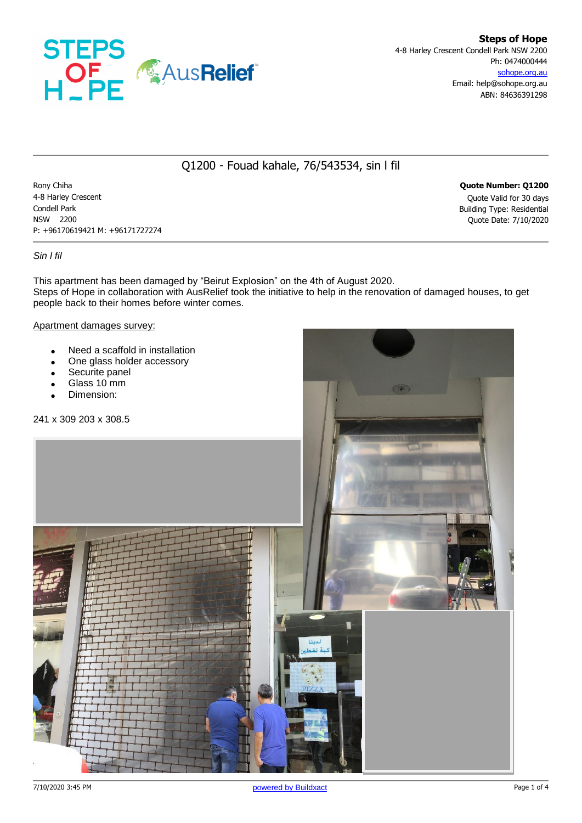

# Q1200 - Fouad kahale, 76/543534, sin l fil

Rony Chiha **Quote Number: Q1200** 4-8 Harley Crescent Quote Valid for 30 days Condell Park Building Type: Residential NSW 2200 Quote Date: 7/10/2020 P: +96170619421 M: +96171727274

## *Sin l fil*

This apartment has been damaged by "Beirut Explosion" on the 4th of August 2020. Steps of Hope in collaboration with AusRelief took the initiative to help in the renovation of damaged houses, to get people back to their homes before winter comes.

#### Apartment damages survey:

- Need a scaffold in installation
- One glass holder accessory

241 x 309 203 x 308.5

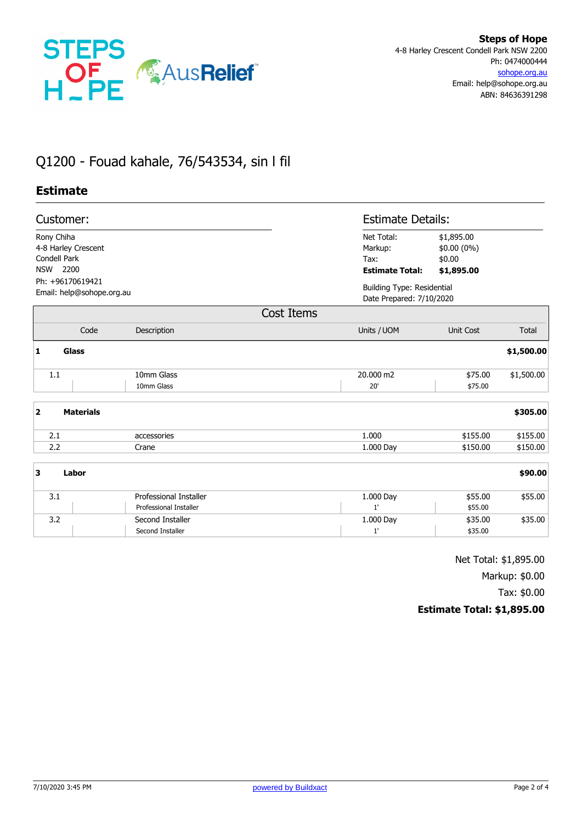

# Q1200 - Fouad kahale, 76/543534, sin l fil

## **Estimate**

| Customer:                                                               |                                      | <b>Estimate Details:</b>                                      |                                                   |              |
|-------------------------------------------------------------------------|--------------------------------------|---------------------------------------------------------------|---------------------------------------------------|--------------|
| Rony Chiha<br>4-8 Harley Crescent<br>Condell Park<br><b>NSW</b><br>2200 |                                      | Net Total:<br>Markup:<br>Tax:<br><b>Estimate Total:</b>       | \$1,895.00<br>\$0.00 (0%)<br>\$0.00<br>\$1,895.00 |              |
| Ph: +96170619421<br>Email: help@sohope.org.au                           |                                      | <b>Building Type: Residential</b><br>Date Prepared: 7/10/2020 |                                                   |              |
|                                                                         | Cost Items                           |                                                               |                                                   |              |
| Code                                                                    | Description                          | Units / UOM                                                   | <b>Unit Cost</b>                                  | <b>Total</b> |
| 1<br><b>Glass</b>                                                       |                                      |                                                               |                                                   | \$1,500.00   |
| 1.1                                                                     | 10mm Glass<br>10mm Glass             | 20,000 m2<br>20'                                              | \$75.00<br>\$75.00                                | \$1,500.00   |
| $\overline{\mathbf{2}}$<br><b>Materials</b>                             |                                      |                                                               |                                                   | \$305.00     |
| 2.1                                                                     | accessories                          | 1.000                                                         | \$155.00                                          | \$155.00     |
| 2.2                                                                     | Crane                                | 1.000 Day                                                     | \$150.00                                          | \$150.00     |
| 3<br>Labor                                                              |                                      |                                                               |                                                   | \$90.00      |
| 3.1                                                                     | Professional Installer               | 1.000 Day                                                     | \$55.00                                           | \$55.00      |
|                                                                         | Professional Installer               | 1'                                                            | \$55.00                                           |              |
| 3.2                                                                     | Second Installer<br>Second Installer | 1.000 Day<br>1'                                               | \$35.00<br>\$35.00                                | \$35.00      |

Net Total: \$1,895.00

Markup: \$0.00

Tax: \$0.00

## **Estimate Total: \$1,895.00**